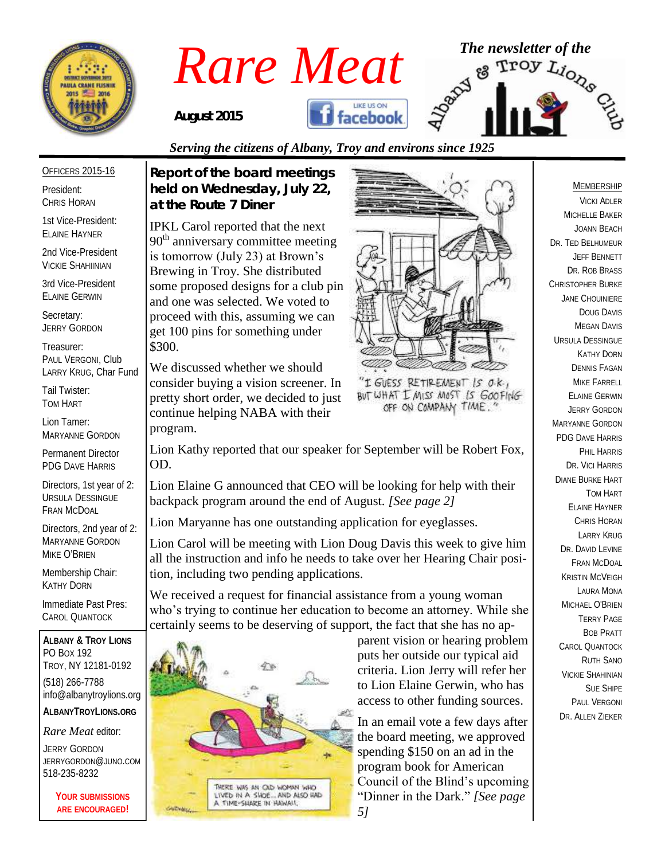

# *Rare Meat* <sup>The newsletter of the service</sup> of the service of the service of the service of the service of the service of  $\mathbb{R}^{3}$ facebook *August 2015*

#### *Serving the citizens of Albany, Troy and environs since 1925*

#### OFFICERS 2015-16

President: CHRIS HORAN

1st Vice-President: ELAINE HAYNER

2nd Vice-President VICKIE SHAHIINIAN

3rd Vice-President ELAINE GERWIN

Secretary: JERRY GORDON

Treasurer: PAUL VERGONI, Club LARRY KRUG, Char Fund

Tail Twister: TOM HART

Lion Tamer: MARYANNE GORDON

Permanent Director PDG DAVE HARRIS

Directors, 1st year of 2: URSULA DESSINGUE FRAN MCDOAL

Directors, 2nd year of 2: MARYANNE GORDON MIKE O'BRIEN

Membership Chair: KATHY DORN

Immediate Past Pres: CAROL QUANTOCK

**ALBANY & TROY LIONS** PO BOX 192 TROY, NY 12181-0192 (518) 266-7788 info@albanytroylions.org **ALBANYTROYLIONS.ORG**

*Rare Meat* editor:

JERRY GORDON JERRYGORDON@JUNO.COM 518-235-8232

> **YOUR SUBMISSIONS ARE ENCOURAGED!**

*Report of the board meetings held on Wednesday, July 22, at the Route 7 Diner* 

IPKL Carol reported that the next  $90<sup>th</sup>$  anniversary committee meeting is tomorrow (July 23) at Brown's Brewing in Troy. She distributed some proposed designs for a club pin and one was selected. We voted to proceed with this, assuming we can get 100 pins for something under \$300.

We discussed whether we should consider buying a vision screener. In pretty short order, we decided to just continue helping NABA with their program.



"I GUESS RETIREMENT IS O.K., BUT WHAT I MISS MOST IS GOOFING OFF ON COMPANY TIME.

Lion Kathy reported that our speaker for September will be Robert Fox, OD.

Lion Elaine G announced that CEO will be looking for help with their backpack program around the end of August. *[See page 2]*

Lion Maryanne has one outstanding application for eyeglasses.

Lion Carol will be meeting with Lion Doug Davis this week to give him all the instruction and info he needs to take over her Hearing Chair position, including two pending applications.

We received a request for financial assistance from a young woman who's trying to continue her education to become an attorney. While she certainly seems to be deserving of support, the fact that she has no ap-



parent vision or hearing problem puts her outside our typical aid criteria. Lion Jerry will refer her to Lion Elaine Gerwin, who has access to other funding sources.

In an email vote a few days after the board meeting, we approved spending \$150 on an ad in the program book for American Council of the Blind's upcoming "Dinner in the Dark." *[See page 5]*

#### MEMBERSHIP

VICKI ADLER MICHELLE BAKER JOANN BEACH DR. TED BELHUMEUR JEFF BENNETT DR. ROB BRASS CHRISTOPHER BURKE JANE CHOUINIERE DOUG DAVIS MEGAN DAVIS URSULA DESSINGUE KATHY DORN DENNIS FAGAN MIKE FARRELL ELAINE GERWIN JERRY GORDON MARYANNE GORDON PDG DAVE HARRIS PHIL HARRIS DR. VICI HARRIS DIANE BURKE HART TOM HART ELAINE HAYNER CHRIS HORAN LARRY KRUG DR. DAVID EVINE FRAN MCDOAL KRISTIN MCVEIGH LAURA MONA MICHAEL O'BRIEN TERRY PAGE BOB PRATT CAROL QUANTOCK RUTH SANO VICKIE SHAHINIAN SUE SHIPE PAUL VERGONI DR. ALLEN ZIEKER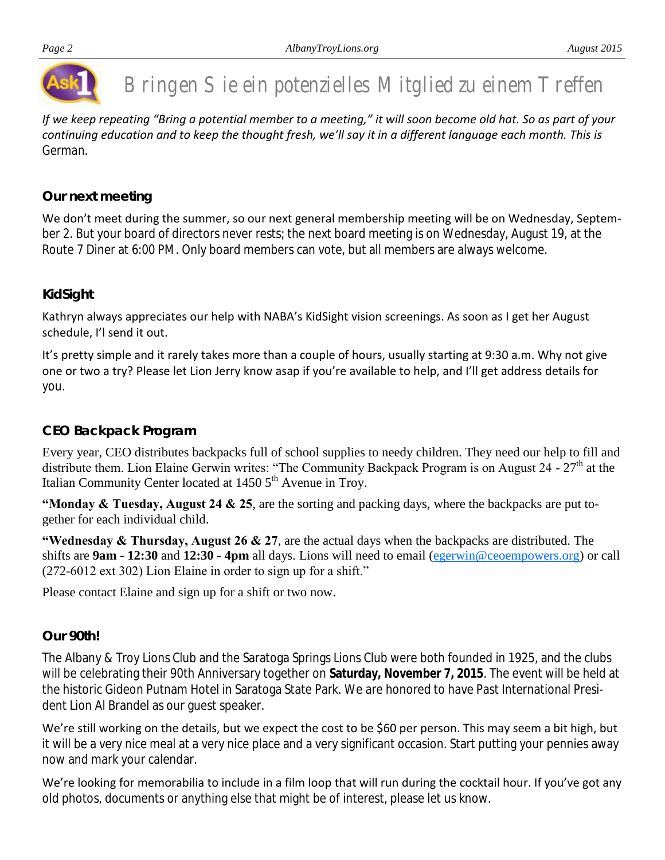

# Bringen Sie ein potenzielles Mitglied zu einem Treffen

*If we keep repeating "Bring a potential member to a meeting," it will soon become old hat. So as part of your continuing education and to keep the thought fresh, we'll say it in a different language each month. This is German.*

#### *Our next meeting*

We don't meet during the summer, so our next general membership meeting will be on Wednesday, September 2. But your board of directors never rests; the next board meeting is on Wednesday, August 19, at the Route 7 Diner at 6:00 PM. Only board members can vote, but all members are always welcome.

#### *KidSight*

Kathryn always appreciates our help with NABA's KidSight vision screenings. As soon as I get her August schedule, I'l send it out.

It's pretty simple and it rarely takes more than a couple of hours, usually starting at 9:30 a.m. Why not give one or two a try? Please let Lion Jerry know asap if you're available to help, and I'll get address details for you.

#### *CEO Backpack Program*

Every year, CEO distributes backpacks full of school supplies to needy children. They need our help to fill and distribute them. Lion Elaine Gerwin writes: "The Community Backpack Program is on August 24 -  $27<sup>th</sup>$  at the Italian Community Center located at  $1450\,5<sup>th</sup>$  Avenue in Troy.

**"Monday & Tuesday, August 24 & 25**, are the sorting and packing days, where the backpacks are put together for each individual child.

**"Wednesday & Thursday, August 26 & 27**, are the actual days when the backpacks are distributed. The shifts are **9am - 12:30** and **12:30 - 4pm** all days. Lions will need to email [\(egerwin@ceoempowers.org\)](mailto:egerwin@ceoempowers.org) or call (272-6012 ext 302) Lion Elaine in order to sign up for a shift."

Please contact Elaine and sign up for a shift or two now.

#### *Our 90th!*

The Albany & Troy Lions Club and the Saratoga Springs Lions Club were both founded in 1925, and the clubs will be celebrating their 90th Anniversary together on **Saturday, November 7, 2015**. The event will be held at the historic Gideon Putnam Hotel in Saratoga State Park. We are honored to have Past International President Lion Al Brandel as our guest speaker.

We're still working on the details, but we expect the cost to be \$60 per person. This may seem a bit high, but it will be a very nice meal at a very nice place and a very significant occasion. Start putting your pennies away now and mark your calendar.

We're looking for memorabilia to include in a film loop that will run during the cocktail hour. If you've got any old photos, documents or anything else that might be of interest, please let us know.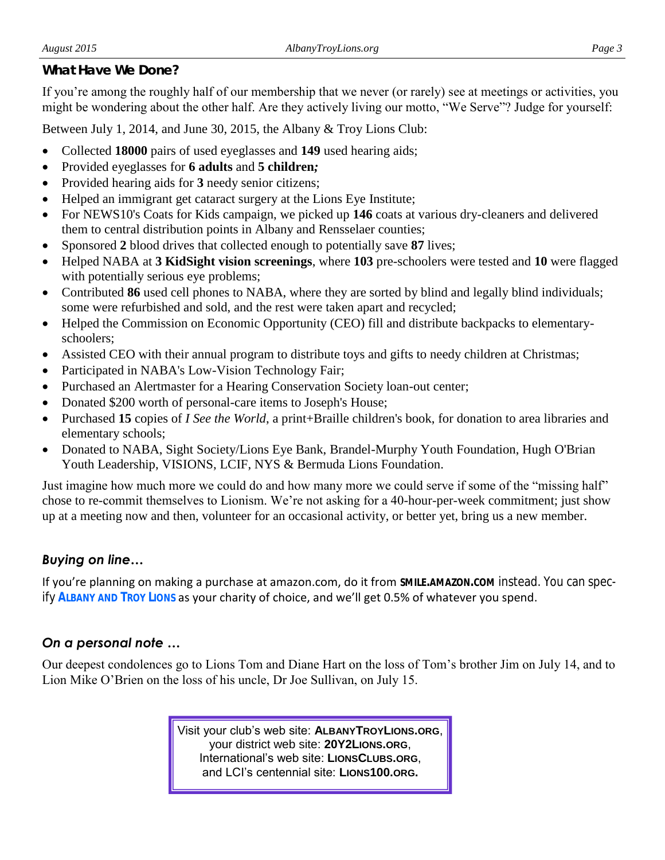#### *What Have We Done?*

If you're among the roughly half of our membership that we never (or rarely) see at meetings or activities, you might be wondering about the other half. Are they actively living our motto, "We Serve"? Judge for yourself:

Between July 1, 2014, and June 30, 2015, the Albany & Troy Lions Club:

- Collected **18000** pairs of used eyeglasses and **149** used hearing aids;
- Provided eyeglasses for **6 adults** and **5 children***;*
- Provided hearing aids for **3** needy senior citizens;
- Helped an immigrant get cataract surgery at the Lions Eye Institute;
- For NEWS10's Coats for Kids campaign, we picked up **146** coats at various dry-cleaners and delivered them to central distribution points in Albany and Rensselaer counties;
- Sponsored **2** blood drives that collected enough to potentially save **87** lives;
- Helped NABA at **3 KidSight vision screenings**, where **103** pre-schoolers were tested and **10** were flagged with potentially serious eye problems;
- Contributed 86 used cell phones to NABA, where they are sorted by blind and legally blind individuals; some were refurbished and sold, and the rest were taken apart and recycled;
- Helped the Commission on Economic Opportunity (CEO) fill and distribute backpacks to elementaryschoolers;
- Assisted CEO with their annual program to distribute toys and gifts to needy children at Christmas;
- Participated in NABA's Low-Vision Technology Fair;
- Purchased an Alertmaster for a Hearing Conservation Society loan-out center;
- Donated \$200 worth of personal-care items to Joseph's House;
- Purchased **15** copies of *I See the World*, a print+Braille children's book, for donation to area libraries and elementary schools;
- Donated to NABA, Sight Society/Lions Eye Bank, Brandel-Murphy Youth Foundation, Hugh O'Brian Youth Leadership, VISIONS, LCIF, NYS & Bermuda Lions Foundation.

Just imagine how much more we could do and how many more we could serve if some of the "missing half" chose to re-commit themselves to Lionism. We're not asking for a 40-hour-per-week commitment; just show up at a meeting now and then, volunteer for an occasional activity, or better yet, bring us a new member.

### *Buying on line…*

If you're planning on making a purchase at amazon.com, do it from **SMILE.AMAZON.COM** instead. You can specify **ALBANY AND TROY LIONS** as your charity of choice, and we'll get 0.5% of whatever you spend.

#### *On a personal note …*

Our deepest condolences go to Lions Tom and Diane Hart on the loss of Tom's brother Jim on July 14, and to Lion Mike O'Brien on the loss of his uncle, Dr Joe Sullivan, on July 15.

> Visit your club's web site: **ALBANYTROYLIONS.ORG**, your district web site: **20Y2LIONS.ORG**, International's web site: **LIONSCLUBS.ORG**, and LCI's centennial site: **LIONS100.ORG.**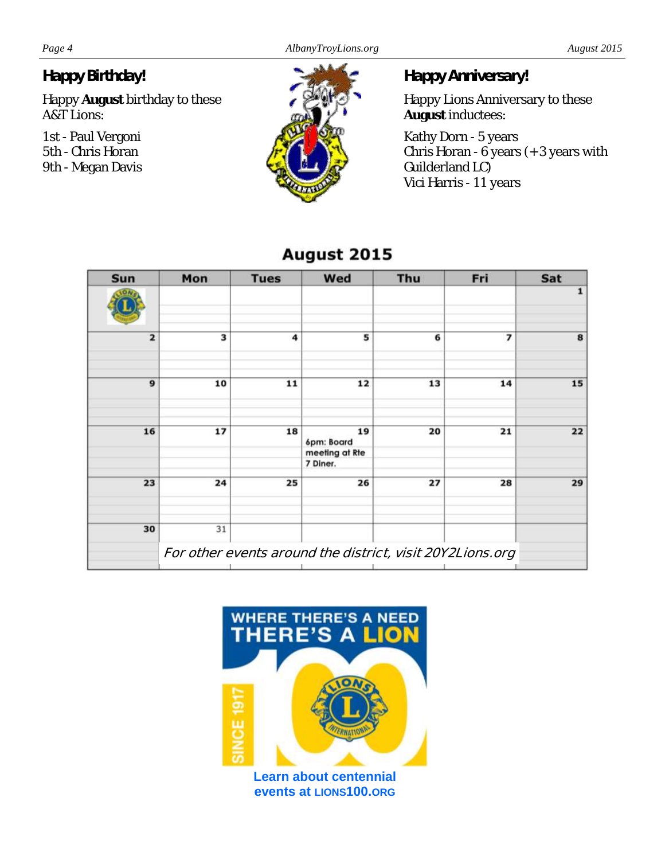#### *Happy Birthday!*

Happy **August** birthday to these A&T Lions:

1st - Paul Vergoni 5th - Chris Horan 9th - Megan Davis

*Happy Anniversary!*

Happy Lions Anniversary to these **August** inductees:

Kathy Dorn - 5 years Chris Horan - 6 years (+ 3 years with Guilderland LC) Vici Harris - 11 years

| Sun            | Mon                                                       | <b>Tues</b> | Wed                        | Thu | Fri | Sat |
|----------------|-----------------------------------------------------------|-------------|----------------------------|-----|-----|-----|
|                |                                                           |             |                            |     |     | 1   |
| $\overline{2}$ | 3                                                         | 4           | 5                          | 6   | 7   | 8   |
| $\mathbf{9}$   | 10                                                        | 11          | 12                         | 13  | 14  | 15  |
| 16             | 17                                                        | 18          | 19<br>6pm: Board           | 20  | 21  | 22  |
|                |                                                           |             | meeting at Rte<br>7 Diner. |     |     |     |
| 23             | 24                                                        | 25          | 26                         | 27  | 28  | 29  |
| 30             | 31                                                        |             |                            |     |     |     |
|                | For other events around the district, visit 20Y2Lions.org |             |                            |     |     |     |

## August 2015



**events at LIONS100.ORG**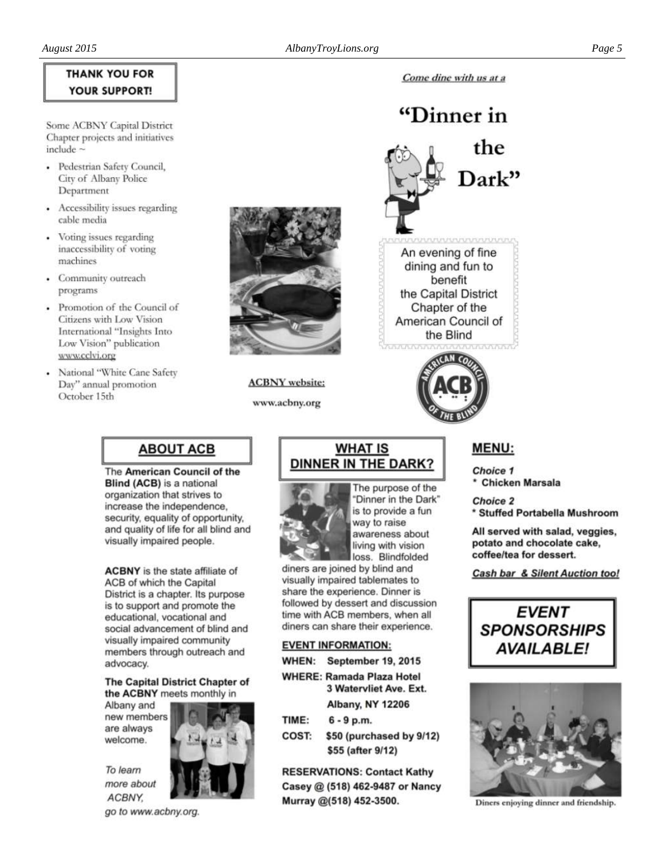#### **THANK YOU FOR YOUR SUPPORT!**

Some ACBNY Capital District Chapter projects and initiatives include

- · Pedestrian Safety Council, City of Albany Police Department
- Accessibility issues regarding cable media
- Voting issues regarding inaccessibility of voting machines
- Community outreach programs
- Promotion of the Council of Citizens with Low Vision International "Insights Into Low Vision" publication www.cclvi.org
- National "White Cane Safety Day" annual promotion October 15th



**ACBNY** website:

www.acbny.org



Come dine with us at a

### **ABOUT ACB**

The American Council of the Blind (ACB) is a national organization that strives to increase the independence, security, equality of opportunity, and quality of life for all blind and visually impaired people.

**ACBNY** is the state affiliate of ACB of which the Capital District is a chapter. Its purpose is to support and promote the educational, vocational and social advancement of blind and visually impaired community members through outreach and advocacy.

The Capital District Chapter of the ACBNY meets monthly in

Albany and new members are always welcome.



more about ACBNY.

To learn

go to www.acbny.org.

#### **WHAT IS DINNER IN THE DARK?**



The purpose of the 'Dinner in the Dark" is to provide a fun way to raise awareness about living with vision loss. Blindfolded

diners are joined by blind and visually impaired tablemates to share the experience. Dinner is followed by dessert and discussion time with ACB members, when all diners can share their experience.

#### **EVENT INFORMATION:**

- WHEN: September 19, 2015
- **WHERE: Ramada Plaza Hotel** 3 Watervliet Ave. Ext. Albany, NY 12206
- TIME:  $6 - 9$  p.m.
- COST: \$50 (purchased by 9/12) \$55 (after 9/12)

**RESERVATIONS: Contact Kathy** Casey @ (518) 462-9487 or Nancy Murray @(518) 452-3500.

#### **MENU:**

**Choice 1 Chicken Marsala** 

**Choice 2** \* Stuffed Portabella Mushroom

All served with salad, veggies, potato and chocolate cake. coffee/tea for dessert.

**Cash bar & Silent Auction too!** 





Diners enjoying dinner and friendship.